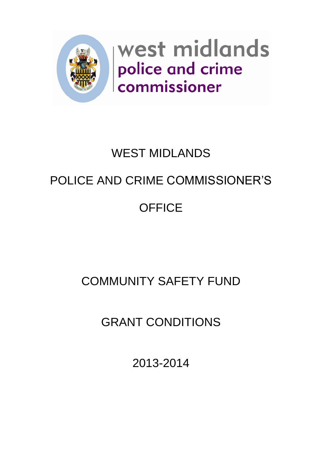

# WEST MIDLANDS POLICE AND CRIME COMMISSIONER'S **OFFICE**

# COMMUNITY SAFETY FUND

GRANT CONDITIONS

2013-2014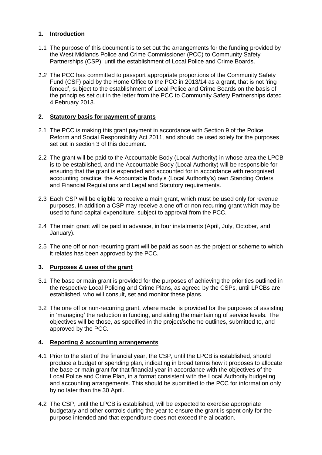## **1. Introduction**

- 1.1 The purpose of this document is to set out the arrangements for the funding provided by the West Midlands Police and Crime Commissioner (PCC) to Community Safety Partnerships (CSP), until the establishment of Local Police and Crime Boards.
- *1.2* The PCC has committed to passport appropriate proportions of the Community Safety Fund (CSF) paid by the Home Office to the PCC in 2013/14 as a grant, that is not 'ring fenced', subject to the establishment of Local Police and Crime Boards on the basis of the principles set out in the letter from the PCC to Community Safety Partnerships dated 4 February 2013.

### **2. Statutory basis for payment of grants**

- 2.1 The PCC is making this grant payment in accordance with Section 9 of the Police Reform and Social Responsibility Act 2011, and should be used solely for the purposes set out in section 3 of this document.
- 2.2 The grant will be paid to the Accountable Body (Local Authority) in whose area the LPCB is to be established, and the Accountable Body (Local Authority) will be responsible for ensuring that the grant is expended and accounted for in accordance with recognised accounting practice, the Accountable Body's (Local Authority's) own Standing Orders and Financial Regulations and Legal and Statutory requirements.
- 2.3 Each CSP will be eligible to receive a main grant, which must be used only for revenue purposes. In addition a CSP may receive a one off or non-recurring grant which may be used to fund capital expenditure, subject to approval from the PCC.
- 2.4 The main grant will be paid in advance, in four instalments (April, July, October, and January).
- 2.5 The one off or non-recurring grant will be paid as soon as the project or scheme to which it relates has been approved by the PCC.

# **3. Purposes & uses of the grant**

- 3.1 The base or main grant is provided for the purposes of achieving the priorities outlined in the respective Local Policing and Crime Plans, as agreed by the CSPs, until LPCBs are established, who will consult, set and monitor these plans.
- 3.2 The one off or non-recurring grant, where made, is provided for the purposes of assisting in 'managing' the reduction in funding, and aiding the maintaining of service levels. The objectives will be those, as specified in the project/scheme outlines, submitted to, and approved by the PCC.

#### **4. Reporting & accounting arrangements**

- 4.1 Prior to the start of the financial year, the CSP, until the LPCB is established, should produce a budget or spending plan, indicating in broad terms how it proposes to allocate the base or main grant for that financial year in accordance with the objectives of the Local Police and Crime Plan, in a format consistent with the Local Authority budgeting and accounting arrangements. This should be submitted to the PCC for information only by no later than the 30 April.
- 4.2 The CSP, until the LPCB is established, will be expected to exercise appropriate budgetary and other controls during the year to ensure the grant is spent only for the purpose intended and that expenditure does not exceed the allocation.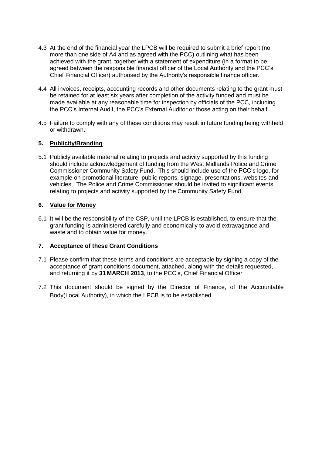- 4.3 At the end of the financial year the LPCB will be required to submit a brief report (no more than one side of A4 and as agreed with the PCC) outlining what has been achieved with the grant, together with a statement of expenditure (in a format to be agreed between the responsible financial officer of the Local Authority and the PCC's Chief Financial Officer) authorised by the Authority's responsible finance officer.
- 4.4 All invoices, receipts, accounting records and other documents relating to the grant must be retained for at least six years after completion of the activity funded and must be made available at any reasonable time for inspection by officials of the PCC, including the PCC's Internal Audit, the PCC's External Auditor or those acting on their behalf.
- 4.5 Failure to comply with any of these conditions may result in future funding being withheld or withdrawn.

#### **5. Publicity/Branding**

5.1 Publicly available material relating to projects and activity supported by this funding should include acknowledgement of funding from the West Midlands Police and Crime Commissioner Community Safety Fund. This should include use of the PCC's logo, for example on promotional literature, public reports, signage, presentations, websites and vehicles. The Police and Crime Commissioner should be invited to significant events relating to projects and activity supported by the Community Safety Fund.

#### **6. Value for Money**

6.1 It will be the responsibility of the CSP, until the LPCB is established, to ensure that the grant funding is administered carefully and economically to avoid extravagance and waste and to obtain value for money.

#### **7. Acceptance of these Grant Conditions**

- 7.1 Please confirm that these terms and conditions are acceptable by signing a copy of the acceptance of grant conditions document, attached, along with the details requested, and returning it by **31 MARCH 2013**, to the PCC's, Chief Financial Officer
- . 7.2 This document should be signed by the Director of Finance, of the Accountable Body(Local Authority), in which the LPCB is to be established.